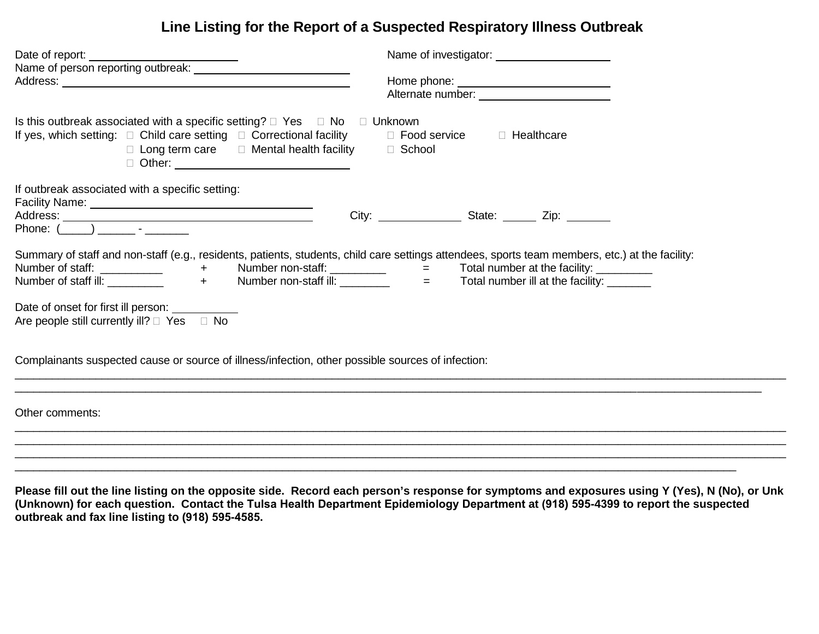## **Line Listing for the Report of a Suspected Respiratory Illness Outbreak**

| Date of report: ________________                                                                                                                                                                                                 | Name of investigator: Name of investigator:                                                                                                                                                                                    |
|----------------------------------------------------------------------------------------------------------------------------------------------------------------------------------------------------------------------------------|--------------------------------------------------------------------------------------------------------------------------------------------------------------------------------------------------------------------------------|
|                                                                                                                                                                                                                                  | Alternate number: Note that the state of the state of the state of the state of the state of the state of the state of the state of the state of the state of the state of the state of the state of the state of the state of |
| Is this outbreak associated with a specific setting? $\Box$ Yes $\Box$ No $\Box$ Unknown<br>If yes, which setting: $\Box$ Child care setting $\Box$ Correctional facility<br>$\Box$ Long term care $\Box$ Mental health facility | □ Food service □ Healthcare<br>□ School                                                                                                                                                                                        |
| If outbreak associated with a specific setting:<br>Phone: $(\_\_)$ $\_\_$                                                                                                                                                        |                                                                                                                                                                                                                                |
| Summary of staff and non-staff (e.g., residents, patients, students, child care settings attendees, sports team members, etc.) at the facility:                                                                                  |                                                                                                                                                                                                                                |
| Date of onset for first ill person: ____________<br>Are people still currently ill? $\Box$ Yes $\Box$ No                                                                                                                         |                                                                                                                                                                                                                                |
| Complainants suspected cause or source of illness/infection, other possible sources of infection:                                                                                                                                |                                                                                                                                                                                                                                |
| Other comments:                                                                                                                                                                                                                  |                                                                                                                                                                                                                                |
|                                                                                                                                                                                                                                  |                                                                                                                                                                                                                                |
|                                                                                                                                                                                                                                  |                                                                                                                                                                                                                                |

**Please fill out the line listing on the opposite side. Record each person's response for symptoms and exposures using Y (Yes), N (No), or Unk (Unknown) for each question. Contact the Tulsa Health Department Epidemiology Department at (918) 595-4399 to report the suspected outbreak and fax line listing to (918) 595-4585.**